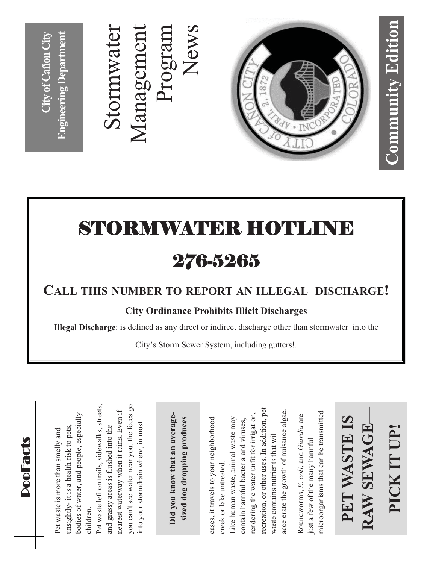### Stormwater<br>Management Stormwater Management News Program



## STORMWATER HOTLINE 276-5265

#### **CALL THIS NUMBER TO REPORT AN ILLEGAL DISCHARGE!**

#### **City Ordinance Prohibits Illicit Discharges**

**Illegal Discharge**: is defined as any direct or indirect discharge other than stormwater into the

City's Storm Sewer System, including gutters!.

 $\mathop{\mathsf{D}}$ ooFa cts

bodies of water, and people, especially oodies of water, and people, especially Pet waste is more than smelly and<br>unsightly- it is a health risk to pets, insightly- it is a health risk to pets, Pet waste is more than smelly and children. children.

Pet waste left on trails, sidewalks, streets, you can't see water near you, the feces go Pet waste left on trails, sidewalks, streets, you can't see water near you, the feces go nearest waterway when it rains. Even if nearest waterway when it rains. Even if into your stormdrain where, in most nto your stormdrain where, in most and grassy areas is flushed into the and grassy areas is flushed into the

Did you know that an average-**Did you know that an average- sized dog dropping produces**  sized dog dropping produces

recreation, or other uses. In addition, pet recreation, or other uses. In addition, pet accelerate the growth of nuisance algae. accelerate the growth of nuisance algae. rendering the water unfit for irrigation, endering the water unfit for irrigation, Like human waste, animal waste may cases, it travels to your neighborhood Like human waste, animal waste may contain harmful bacteria and viruses, cases, it travels to your neighborhood contain harmful bacteria and viruses, waste contains nutrients that will waste contains nutrients that will creek or lake untreated. creek or lake untreated

microorganisms that can be transmitted microorganisms that can be transmitted Roundworms, *E. coli*, and *Giardia* are Roundworms, E. coli, and Giardia are just a few of the many harmful just a few of the many harmful

#### **RAW SEWAGE— PET WASTE IS**  PET WASTE IS **PICK IT UP!** RAW SEWAGE PICK IT UP!